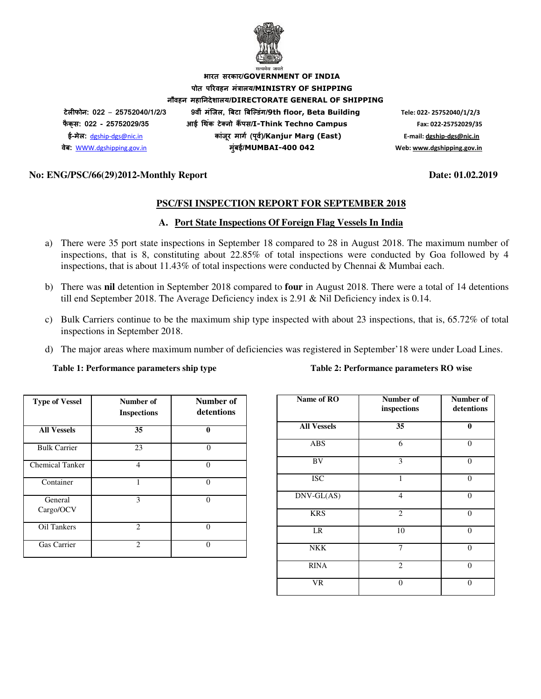

**भारत सरकार/GOVERNMENT OF INDIA पोत परवहन मंालय/MINISTRY OF SHIPPING नौवहन महानदेशालय/DIRECTORATE GENERAL OF SHIPPING टेलफोन: 022** – **25752040/1/2/3 9वीं मंिजल, )बटा )बि+डंग/9th floor, Beta Building Tele: 022- 25752040/1/2/3 फै क् स: 022 - 25752029/35 आई 3थक टे5 नो क ं 6पस/I-Think Techno Campus Fax: 022-25752029/35 ई-मेल:** dgship-dgs@nic.in **कांजर माग8 (प ू व8)/ ू Kanjur Marg (East) E-mail: dgship-dgs@nic.in वेब:** WWW.dgshipping.gov.in **मुंबई/MUMBAI-400 042 Web: www.dgshipping.gov.in**

#### **No: ENG/PSC/66(29)2012-Monthly Report Date: 01.02.2019**

#### **PSC/FSI INSPECTION REPORT FOR SEPTEMBER 2018**

#### **A. Port State Inspections Of Foreign Flag Vessels In India**

- a) There were 35 port state inspections in September 18 compared to 28 in August 2018. The maximum number of inspections, that is 8, constituting about 22.85% of total inspections were conducted by Goa followed by 4 inspections, that is about 11.43% of total inspections were conducted by Chennai & Mumbai each.
- b) There was **nil** detention in September 2018 compared to **four** in August 2018. There were a total of 14 detentions till end September 2018. The Average Deficiency index is 2.91 & Nil Deficiency index is 0.14.
- c) Bulk Carriers continue to be the maximum ship type inspected with about 23 inspections, that is, 65.72% of total inspections in September 2018.
- d) The major areas where maximum number of deficiencies was registered in September'18 were under Load Lines.

#### **Table 1: Performance parameters ship type Table 2: Performance parameters RO wise**

| <b>Type of Vessel</b>  | Number of<br><b>Inspections</b> | Number of<br>detentions |
|------------------------|---------------------------------|-------------------------|
| <b>All Vessels</b>     | 35                              | 0                       |
| <b>Bulk Carrier</b>    | 23                              | $\Omega$                |
| <b>Chemical Tanker</b> | $\overline{4}$                  | $\Omega$                |
| Container              | 1                               | $\Omega$                |
| General<br>Cargo/OCV   | 3                               | $\theta$                |
| Oil Tankers            | $\mathfrak{D}$                  | 0                       |
| Gas Carrier            | $\mathcal{D}_{\mathcal{L}}$     | $\Omega$                |

| Name of RO          | Number of<br>inspections | Number of<br>detentions |
|---------------------|--------------------------|-------------------------|
| <b>All Vessels</b>  | 35                       | $\bf{0}$                |
| <b>ABS</b>          | 6                        | $\theta$                |
| BV                  | 3                        | $\Omega$                |
| <b>ISC</b>          | $\mathbf{1}$             | $\overline{0}$          |
| $DNV\text{-}GL(AS)$ | $\overline{4}$           | $\theta$                |
| <b>KRS</b>          | $\overline{2}$           | $\theta$                |
| LR                  | 10                       | $\theta$                |
| <b>NKK</b>          | $\overline{7}$           | $\overline{0}$          |
| <b>RINA</b>         | $\overline{2}$           | $\theta$                |
| VR                  | $\Omega$                 | $\Omega$                |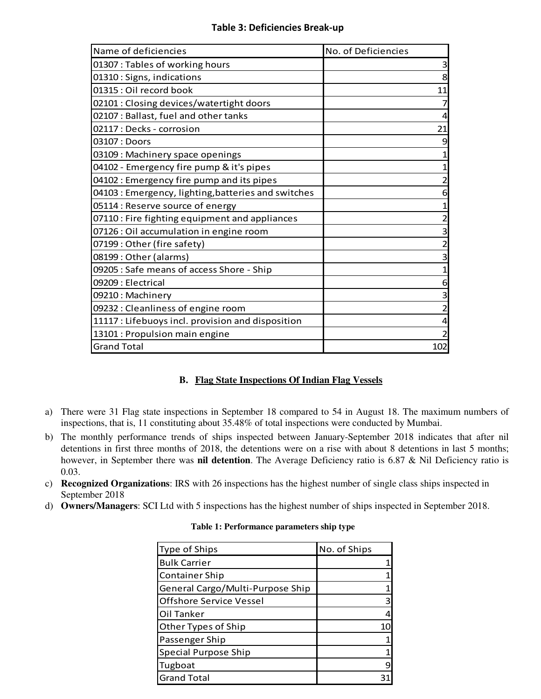### **Table 3: Deficiencies Break-up**

| Name of deficiencies                                | No. of Deficiencies |
|-----------------------------------------------------|---------------------|
| 01307 : Tables of working hours                     | 3                   |
| 01310: Signs, indications                           | 8                   |
| 01315 : Oil record book                             | 11                  |
| 02101 : Closing devices/watertight doors            |                     |
| 02107 : Ballast, fuel and other tanks               | 4                   |
| 02117 : Decks - corrosion                           | 21                  |
| 03107 : Doors                                       | 9                   |
| 03109 : Machinery space openings                    |                     |
| 04102 - Emergency fire pump & it's pipes            |                     |
| 04102 : Emergency fire pump and its pipes           |                     |
| 04103 : Emergency, lighting, batteries and switches | 6                   |
| 05114 : Reserve source of energy                    |                     |
| 07110 : Fire fighting equipment and appliances      |                     |
| 07126 : Oil accumulation in engine room             | 3                   |
| 07199: Other (fire safety)                          |                     |
| 08199: Other (alarms)                               | 3                   |
| 09205 : Safe means of access Shore - Ship           | 1                   |
| 09209: Electrical                                   | 6                   |
| 09210: Machinery                                    | 3                   |
| 09232 : Cleanliness of engine room                  | 2                   |
| 11117 : Lifebuoys incl. provision and disposition   | 4                   |
| 13101 : Propulsion main engine                      | 2                   |
| <b>Grand Total</b>                                  | 102                 |

### **B. Flag State Inspections Of Indian Flag Vessels**

- a) There were 31 Flag state inspections in September 18 compared to 54 in August 18. The maximum numbers of inspections, that is, 11 constituting about 35.48% of total inspections were conducted by Mumbai.
- b) The monthly performance trends of ships inspected between January-September 2018 indicates that after nil detentions in first three months of 2018, the detentions were on a rise with about 8 detentions in last 5 months; however, in September there was **nil detention**. The Average Deficiency ratio is 6.87 & Nil Deficiency ratio is 0.03.
- c) **Recognized Organizations**: IRS with 26 inspections has the highest number of single class ships inspected in September 2018
- d) **Owners/Managers**: SCI Ltd with 5 inspections has the highest number of ships inspected in September 2018.

| <b>Type of Ships</b>             | No. of Ships |
|----------------------------------|--------------|
| <b>Bulk Carrier</b>              |              |
| <b>Container Ship</b>            |              |
| General Cargo/Multi-Purpose Ship |              |
| <b>Offshore Service Vessel</b>   | З            |
| Oil Tanker                       |              |
| Other Types of Ship              | 10           |
| Passenger Ship                   |              |
| <b>Special Purpose Ship</b>      |              |
| Tugboat                          |              |
| <b>Grand Total</b>               |              |

#### **Table 1: Performance parameters ship type**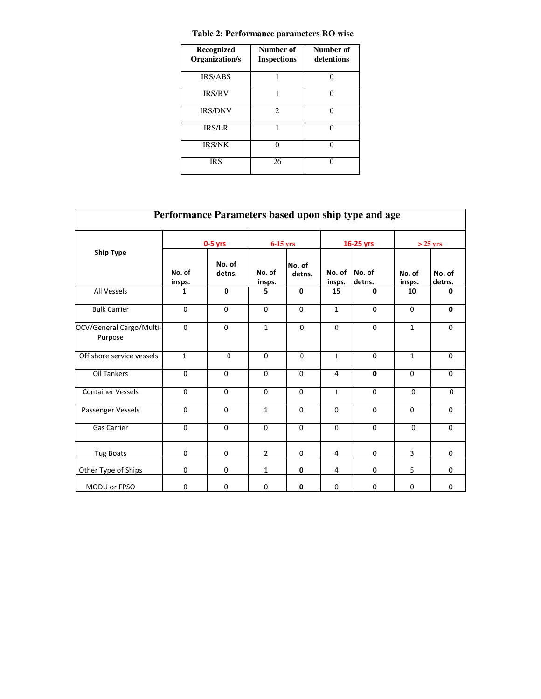| Recognized<br>Organization/s | Number of<br><b>Inspections</b> | Number of<br>detentions |
|------------------------------|---------------------------------|-------------------------|
| <b>IRS/ABS</b>               |                                 |                         |
| <b>IRS/BV</b>                |                                 |                         |
| <b>IRS/DNV</b>               | $\mathcal{D}_{\mathcal{A}}$     |                         |
| <b>IRS/LR</b>                |                                 |                         |
| <b>IRS/NK</b>                | ⋂                               |                         |
| <b>IRS</b>                   | 26                              |                         |

| Performance Parameters based upon ship type and age |                  |                  |                  |                  |                  |                  |                  |                  |  |
|-----------------------------------------------------|------------------|------------------|------------------|------------------|------------------|------------------|------------------|------------------|--|
| <b>Ship Type</b>                                    | $0-5$ yrs        |                  | $6-15$ yrs       |                  | 16-25 yrs        |                  |                  | $>$ 25 yrs       |  |
|                                                     | No. of<br>insps. | No. of<br>detns. | No. of<br>insps. | No. of<br>detns. | No. of<br>insps. | No. of<br>detns. | No. of<br>insps. | No. of<br>detns. |  |
| All Vessels                                         | 1                | 0                | 5                | $\mathbf{0}$     | 15               | $\mathbf{0}$     | 10               | 0                |  |
| <b>Bulk Carrier</b>                                 | $\Omega$         | $\mathbf 0$      | $\Omega$         | $\Omega$         | $\mathbf{1}$     | $\Omega$         | $\Omega$         | $\mathbf 0$      |  |
| OCV/General Cargo/Multi-<br>Purpose                 | $\mathbf{0}$     | $\mathbf 0$      | $\mathbf{1}$     | $\mathbf{0}$     | $\mathbf{0}$     | $\mathbf 0$      | $\mathbf{1}$     | $\mathbf 0$      |  |
| Off shore service vessels                           | $\mathbf{1}$     | $\mathbf{0}$     | $\Omega$         | $\mathbf{0}$     | $\mathbf{1}$     | $\Omega$         | $\mathbf{1}$     | $\mathbf 0$      |  |
| <b>Oil Tankers</b>                                  | $\mathbf 0$      | $\mathbf 0$      | $\mathbf 0$      | $\Omega$         | $\overline{4}$   | $\mathbf{0}$     | $\Omega$         | $\mathbf 0$      |  |
| <b>Container Vessels</b>                            | $\Omega$         | $\Omega$         | $\Omega$         | $\Omega$         | $\mathbf{1}$     | $\Omega$         | $\Omega$         | $\Omega$         |  |
| Passenger Vessels                                   | $\Omega$         | $\Omega$         | $\mathbf{1}$     | $\Omega$         | $\Omega$         | $\Omega$         | $\Omega$         | $\mathbf 0$      |  |
| <b>Gas Carrier</b>                                  | $\mathbf 0$      | $\mathbf 0$      | $\mathbf 0$      | $\Omega$         | $\overline{0}$   | $\Omega$         | $\Omega$         | $\mathbf 0$      |  |
| <b>Tug Boats</b>                                    | $\mathbf 0$      | $\mathbf 0$      | $\overline{2}$   | $\mathbf 0$      | 4                | 0                | 3                | $\mathbf 0$      |  |
| Other Type of Ships                                 | $\mathbf 0$      | $\mathbf 0$      | $\mathbf{1}$     | 0                | 4                | $\mathbf 0$      | 5                | 0                |  |
| MODU or FPSO                                        | $\mathbf 0$      | 0                | $\mathbf 0$      | 0                | $\mathbf 0$      | $\mathbf 0$      | $\mathbf 0$      | $\mathbf 0$      |  |

### **Table 2: Performance parameters RO wise**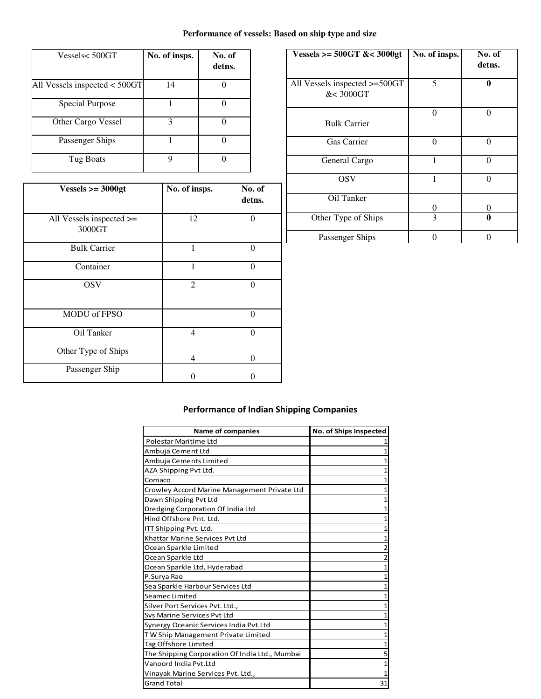### **Performance of vessels: Based on ship type and size**

| Vessels<500GT                   | No. of insps. | No. of<br>detns. |
|---------------------------------|---------------|------------------|
| All Vessels inspected $<$ 500GT | 14            |                  |
| Special Purpose                 |               |                  |
| Other Cargo Vessel              | 3             |                  |
| Passenger Ships                 |               |                  |
| Tug Boats                       | Q             |                  |

| $Vessels >= 3000gt$                     | No. of insps. | No. of<br>detns. |
|-----------------------------------------|---------------|------------------|
| All Vessels inspected $\ge$ =<br>3000GT | 12            | $\Omega$         |
| <b>Bulk Carrier</b>                     | 1             | $\theta$         |
| Container                               | 1             | $\Omega$         |
| <b>OSV</b>                              | 2             | $\theta$         |
| <b>MODU</b> of FPSO                     |               | $\Omega$         |
| Oil Tanker                              | 4             | $\theta$         |
| Other Type of Ships                     | 4             | $\Omega$         |
| Passenger Ship                          |               |                  |

| Vessels >= $500GT$ &< $3000gt$             | No. of insps. | No. of<br>detns. |
|--------------------------------------------|---------------|------------------|
| All Vessels inspected >=500GT<br>&< 3000GT | 5             | A                |
| <b>Bulk Carrier</b>                        | 0             | 0                |
| <b>Gas Carrier</b>                         | $\Omega$      |                  |
| General Cargo                              |               | $\Omega$         |
| <b>OSV</b>                                 |               | 0                |
| Oil Tanker                                 | 0             | 0                |
| Other Type of Ships                        | 3             |                  |
| Passenger Ships                            | 0             |                  |

# **Performance of Indian Shipping Companies**

| <b>Name of companies</b>                       | No. of Ships Inspected |
|------------------------------------------------|------------------------|
| Polestar Maritime Ltd                          |                        |
| Ambuja Cement Ltd                              |                        |
| Ambuja Cements Limited                         |                        |
| AZA Shipping Pvt Ltd.                          |                        |
| Comaco                                         |                        |
| Crowley Accord Marine Management Private Ltd   |                        |
| Dawn Shipping Pvt Ltd                          |                        |
| Dredging Corporation Of India Ltd              |                        |
| Hind Offshore Pnt. Ltd.                        |                        |
| ITT Shipping Pvt. Ltd.                         |                        |
| Khattar Marine Services Pyt Ltd                |                        |
| Ocean Sparkle Limited                          |                        |
| Ocean Sparkle Ltd                              |                        |
| Ocean Sparkle Ltd, Hyderabad                   |                        |
| P.Surya Rao                                    |                        |
| Sea Sparkle Harbour Services Ltd               |                        |
| Seamec Limited                                 |                        |
| Silver Port Services Pvt. Ltd.,                |                        |
| Svs Marine Services Pvt Ltd                    |                        |
| Synergy Oceanic Services India Pvt.Ltd         |                        |
| TW Ship Management Private Limited             |                        |
| Tag Offshore Limited                           | 1                      |
| The Shipping Corporation Of India Ltd., Mumbai | 5                      |
| Vanoord India Pvt.Ltd                          |                        |
| Vinayak Marine Services Pvt. Ltd.,             |                        |
| <b>Grand Total</b>                             | 31                     |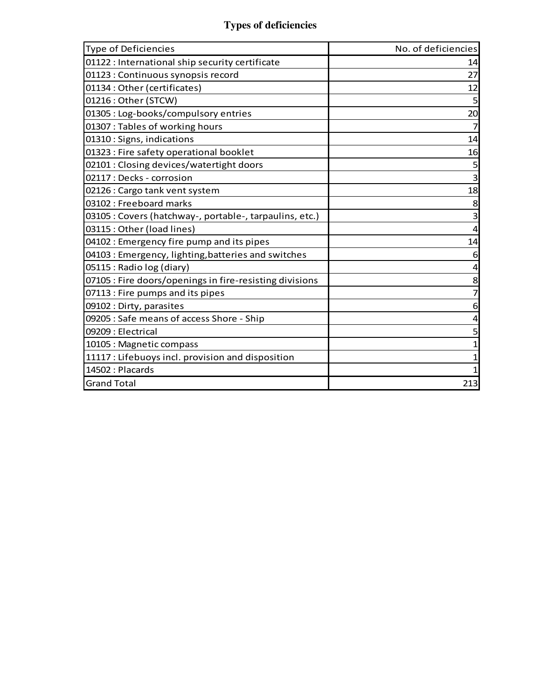# **Types of deficiencies**

| <b>Type of Deficiencies</b>                             | No. of deficiencies |
|---------------------------------------------------------|---------------------|
| 01122 : International ship security certificate         | 14                  |
| 01123 : Continuous synopsis record                      | 27                  |
| 01134 : Other (certificates)                            | 12                  |
| 01216 : Other (STCW)                                    | 5                   |
| 01305 : Log-books/compulsory entries                    | 20                  |
| 01307 : Tables of working hours                         | 7                   |
| 01310: Signs, indications                               | 14                  |
| 01323 : Fire safety operational booklet                 | 16                  |
| 02101 : Closing devices/watertight doors                |                     |
| 02117 : Decks - corrosion                               | 3                   |
| 02126 : Cargo tank vent system                          | 18                  |
| 03102 : Freeboard marks                                 | 8                   |
| 03105 : Covers (hatchway-, portable-, tarpaulins, etc.) | 3                   |
| 03115: Other (load lines)                               | 4                   |
| 04102 : Emergency fire pump and its pipes               | 14                  |
| 04103 : Emergency, lighting, batteries and switches     | 6                   |
| 05115 : Radio log (diary)                               | 4                   |
| 07105 : Fire doors/openings in fire-resisting divisions | 8                   |
| 07113 : Fire pumps and its pipes                        |                     |
| 09102 : Dirty, parasites                                | 6                   |
| 09205 : Safe means of access Shore - Ship               | 4                   |
| 09209 : Electrical                                      | 5                   |
| 10105 : Magnetic compass                                |                     |
| 11117 : Lifebuoys incl. provision and disposition       |                     |
| 14502: Placards                                         |                     |
| <b>Grand Total</b>                                      | 213                 |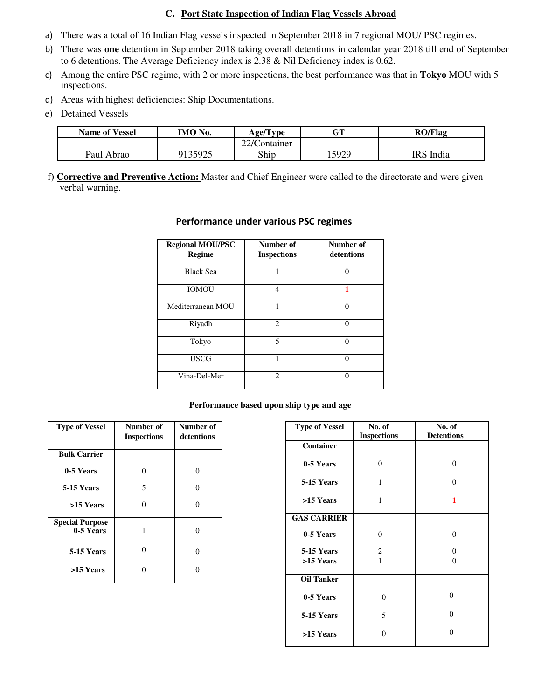#### **C. Port State Inspection of Indian Flag Vessels Abroad**

- a) There was a total of 16 Indian Flag vessels inspected in September 2018 in 7 regional MOU/ PSC regimes.
- b) There was **one** detention in September 2018 taking overall detentions in calendar year 2018 till end of September to 6 detentions. The Average Deficiency index is 2.38 & Nil Deficiency index is 0.62.
- c) Among the entire PSC regime, with 2 or more inspections, the best performance was that in **Tokyo** MOU with 5 inspections.
- d) Areas with highest deficiencies: Ship Documentations.
- e) Detained Vessels

| <b>Name of Vessel</b> | IMO No. | Age/Type     | $\cap$ T | <b>RO/Flag</b> |
|-----------------------|---------|--------------|----------|----------------|
|                       |         | 22/Container |          |                |
| Paul Abrao            | 9135925 | Ship         | 5929     | IRS India      |

f**) Corrective and Preventive Action:** Master and Chief Engineer were called to the directorate and were given verbal warning.

| <b>Regional MOU/PSC</b><br><b>Regime</b> | Number of<br><b>Inspections</b> | Number of<br>detentions |
|------------------------------------------|---------------------------------|-------------------------|
| <b>Black Sea</b>                         | 1                               | ∩                       |
| <b>IOMOU</b>                             | 4                               |                         |
| Mediterranean MOU                        |                                 |                         |
| Riyadh                                   | $\mathfrak{D}$                  |                         |
| Tokyo                                    | $\overline{\phantom{0}}$        |                         |
| <b>USCG</b>                              | 1                               | ∩                       |
| Vina-Del-Mer                             | $\mathfrak{D}$                  |                         |

#### **Performance under various PSC regimes**

#### **Performance based upon ship type and age**

| <b>Type of Vessel</b>               | Number of<br><b>Inspections</b> | Number of<br>detentions |
|-------------------------------------|---------------------------------|-------------------------|
| <b>Bulk Carrier</b>                 |                                 |                         |
| 0-5 Years                           | 0                               | 0                       |
| 5-15 Years                          | 5                               | 0                       |
| >15 Years                           | 0                               | 0                       |
| <b>Special Purpose</b><br>0-5 Years | 1                               | 0                       |
| 5-15 Years                          | 0                               | 0                       |
| >15 Years                           | 0                               |                         |

| <b>Type of Vessel</b> | No. of<br><b>Inspections</b> | No. of<br><b>Detentions</b> |
|-----------------------|------------------------------|-----------------------------|
| Container             |                              |                             |
| 0-5 Years             | $\theta$                     | $\theta$                    |
| 5-15 Years            | 1                            | 0                           |
| >15 Years             | 1                            | 1                           |
| <b>GAS CARRIER</b>    |                              |                             |
| 0-5 Years             | $\theta$                     | $\theta$                    |
| 5-15 Years            | 2                            | 0                           |
| >15 Years             | $\mathbf{1}$                 | 0                           |
| <b>Oil Tanker</b>     |                              |                             |
| 0-5 Years             | $\theta$                     | $\theta$                    |
| 5-15 Years            | 5                            | $\theta$                    |
| >15 Years             | 0                            | $\theta$                    |